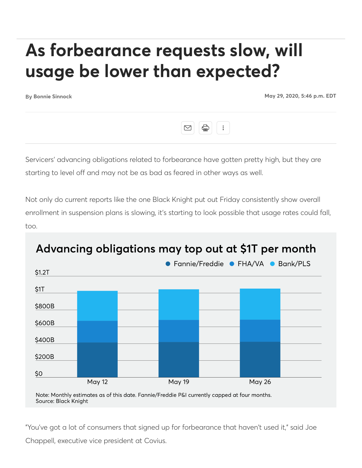## **As forbearance requests slow, will usage be lower than expected?**

**Bonnie Sinnock May 29, 2020, 5:46 p.m. EDT**



Servicers' advancing obligations related to forbearance have gotten pretty high, but they are starting to level off and may not be as bad as feared in other ways as well.

Not only do current reports like the one Black Knight put out Friday consistently show overall enrollment in suspension plans is slowing, it's starting to look possible that usage rates could fall, too.



## Advancing obligations may top out at \$1T per month

Note: Monthly estimates as of this date. Fannie/Freddie P&I currently capped at four months. Source: Black Knight

"You've got a lot of consumers that signed up for forbearance that haven't used it," said Joe Chappell, executive vice president at Covius.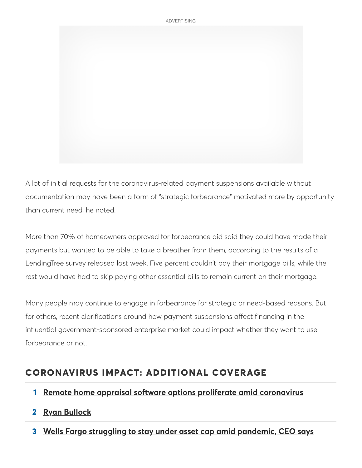

A lot of initial requests for the coronavirus-related payment suspensions available without documentation may have been a form of "strategic forbearance" motivated more by opportunity than current need, he noted.

More than 70% of homeowners approved for forbearance aid said they could have made their payments but wanted to be able to take a breather from them, according to the results of a LendingTree survey released last week. Five percent couldn't pay their mortgage bills, while the rest would have had to skip paying other essential bills to remain current on their mortgage.

Many people may continue to engage in forbearance for strategic or need-based reasons. But for others, recent clarifications around how payment suspensions affect financing in the influential government-sponsored enterprise market could impact whether they want to use forbearance or not.

## **CORONAVIRUS IMPACT: ADDITIONAL COVERAGE**

- **1 Remote home appraisal software options proliferate amid coronavirus**
- **2 Ryan Bullock**
- **3 Wells Fargo struggling to stay under asset cap amid pandemic, CEO says**